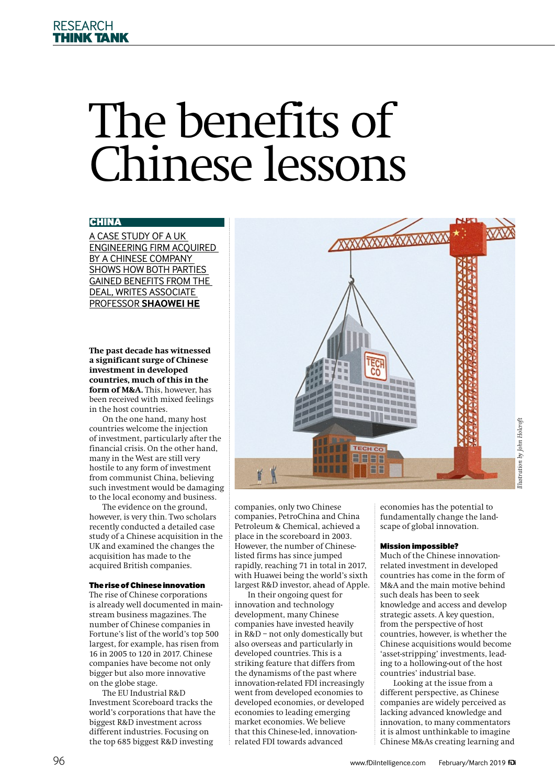# The benefits of Chinese lessons

# CHINA

A CASE STUDY OF A UK ENGINEERING FIRM ACQUIRED BY A CHINESE COMPANY SHOWS HOW BOTH PARTIES GAINED BENEFITS FROM THE DEAL, WRITES ASSOCIATE PROFESSOR **SHAOWEI HE**

**The past decade has witnessed a significant surge of Chinese investment in developed countries, much of this in the form of M&A.** This, however, has been received with mixed feelings in the host countries.

On the one hand, many host countries welcome the injection of investment, particularly after the financial crisis. On the other hand, many in the West are still very hostile to any form of investment from communist China, believing such investment would be damaging to the local economy and business.

The evidence on the ground, however, is very thin. Two scholars recently conducted a detailed case study ofaChinese acquisition in the UK and examined the changes the acquisition has made to the acquired British companies.

## The rise of Chinese innovation

The rise of Chinese corporations is already well documented in mainstream business magazines. The number of Chinese companies in Fortune's list of the world's top 500 largest, for example, has risen from 16 in 2005 to 120 in 2017. Chinese companies have become not only bigger but also more innovative on the globe stage.

The EU Industrial R&D Investment Scoreboard tracks the world's corporations that have the biggest R&D investment across different industries. Focusing on the top 685 biggest R&D investing



companies, only two Chinese companies, PetroChina and China Petroleum & Chemical, achieved a place in the scoreboard in 2003. However, the number of Chineselisted firms has since jumped rapidly, reaching 71 in total in 2017, with Huawei being the world's sixth largest R&D investor, ahead of Apple.

In their ongoing quest for innovation and technology development, many Chinese companies have invested heavily in R&D – not only domestically but also overseas and particularly in developed countries. This is a striking feature that differs from the dynamisms of the past where innovation-related FDI increasingly went from developed economies to developed economies, or developed economies to leading emerging market economies. We believe that this Chinese-led, innovationrelated FDI towards advanced

economies has the potential to fundamentally change the landscape of global innovation.

# Mission impossible?

Much of the Chinese innovationrelated investment in developed countries has come in the form of M&A and the main motive behind such deals has been to seek knowledge and access and develop strategic assets.Akey question, from the perspective of host countries, however, is whether the Chinese acquisitions would become 'asset-stripping' investments, leading to a hollowing-out of the host countries' industrial base.

Looking at the issue from a different perspective, as Chinese companies are widely perceived as lacking advanced knowledge and innovation, to many commentators it is almost unthinkable to imagine Chinese M&As creating learning and